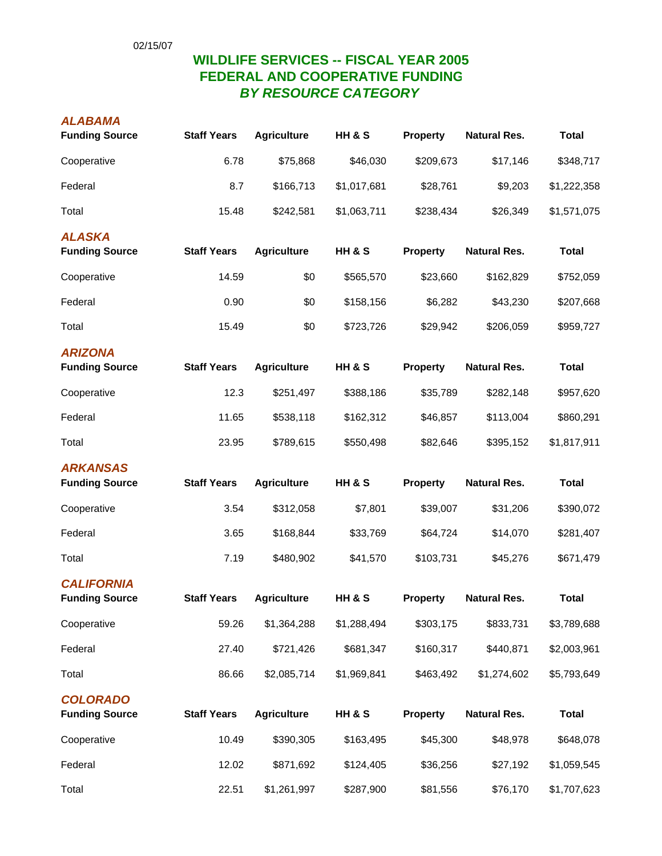## **WILDLIFE SERVICES -- FISCAL YEAR 2005 FEDERAL AND COOPERATIVE FUNDING** *BY RESOURCE CATEGORY*

## *ALABAMA*

| <b>Funding Source</b>                      | <b>Staff Years</b> | <b>Agriculture</b> | <b>HH &amp; S</b> | <b>Property</b> | <b>Natural Res.</b> | <b>Total</b> |
|--------------------------------------------|--------------------|--------------------|-------------------|-----------------|---------------------|--------------|
| Cooperative                                | 6.78               | \$75,868           | \$46,030          | \$209,673       | \$17,146            | \$348,717    |
| Federal                                    | 8.7                | \$166,713          | \$1,017,681       | \$28,761        | \$9,203             | \$1,222,358  |
| Total                                      | 15.48              | \$242,581          | \$1,063,711       | \$238,434       | \$26,349            | \$1,571,075  |
| <b>ALASKA</b><br><b>Funding Source</b>     | <b>Staff Years</b> | <b>Agriculture</b> | <b>HH &amp; S</b> | <b>Property</b> | <b>Natural Res.</b> | <b>Total</b> |
| Cooperative                                | 14.59              | \$0                | \$565,570         | \$23,660        | \$162,829           | \$752,059    |
| Federal                                    | 0.90               | \$0                | \$158,156         | \$6,282         | \$43,230            | \$207,668    |
| Total                                      | 15.49              | \$0                | \$723,726         | \$29,942        | \$206,059           | \$959,727    |
| <b>ARIZONA</b><br><b>Funding Source</b>    | <b>Staff Years</b> | <b>Agriculture</b> | <b>HH &amp; S</b> | <b>Property</b> | <b>Natural Res.</b> | <b>Total</b> |
| Cooperative                                | 12.3               | \$251,497          | \$388,186         | \$35,789        | \$282,148           | \$957,620    |
| Federal                                    | 11.65              | \$538,118          | \$162,312         | \$46,857        | \$113,004           | \$860,291    |
| Total                                      | 23.95              | \$789,615          | \$550,498         | \$82,646        | \$395,152           | \$1,817,911  |
| <b>ARKANSAS</b><br><b>Funding Source</b>   | <b>Staff Years</b> | <b>Agriculture</b> | <b>HH &amp; S</b> | <b>Property</b> | <b>Natural Res.</b> | <b>Total</b> |
| Cooperative                                | 3.54               | \$312,058          | \$7,801           | \$39,007        | \$31,206            | \$390,072    |
| Federal                                    | 3.65               | \$168,844          | \$33,769          | \$64,724        | \$14,070            | \$281,407    |
| Total                                      | 7.19               | \$480,902          | \$41,570          | \$103,731       | \$45,276            | \$671,479    |
| <b>CALIFORNIA</b><br><b>Funding Source</b> | <b>Staff Years</b> | <b>Agriculture</b> | <b>HH &amp; S</b> | <b>Property</b> | <b>Natural Res.</b> | <b>Total</b> |
| Cooperative                                | 59.26              | \$1,364,288        | \$1,288,494       | \$303,175       | \$833,731           | \$3,789,688  |
| Federal                                    | 27.40              | \$721,426          | \$681,347         | \$160,317       | \$440,871           | \$2,003,961  |
| Total                                      | 86.66              | \$2,085,714        | \$1,969,841       | \$463,492       | \$1,274,602         | \$5,793,649  |
| <b>COLORADO</b><br><b>Funding Source</b>   | <b>Staff Years</b> | <b>Agriculture</b> | <b>HH &amp; S</b> | <b>Property</b> | <b>Natural Res.</b> | <b>Total</b> |
| Cooperative                                | 10.49              | \$390,305          | \$163,495         | \$45,300        | \$48,978            | \$648,078    |
| Federal                                    | 12.02              | \$871,692          | \$124,405         | \$36,256        | \$27,192            | \$1,059,545  |
| Total                                      | 22.51              | \$1,261,997        | \$287,900         | \$81,556        | \$76,170            | \$1,707,623  |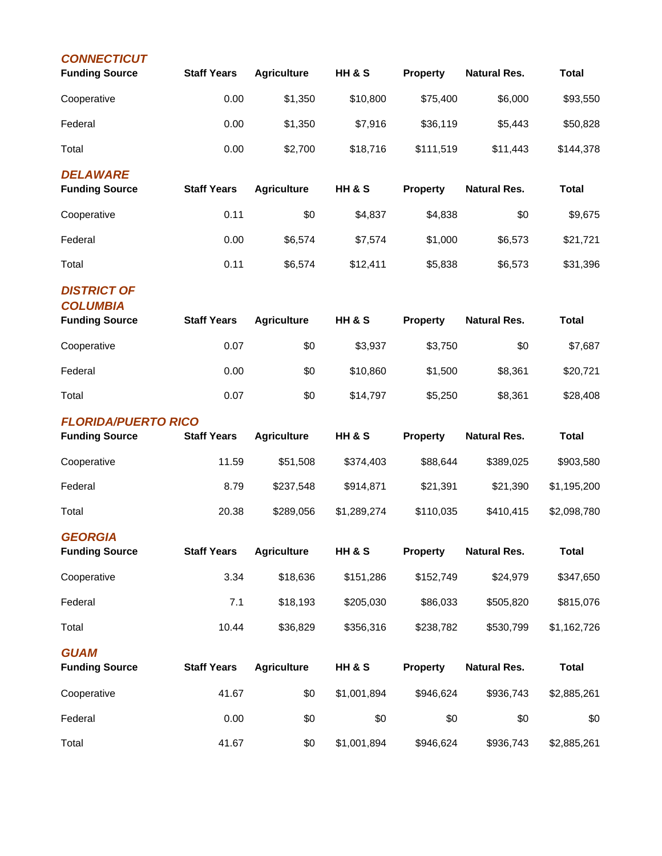| <b>CONNECTICUT</b><br><b>Funding Source</b>                    | <b>Staff Years</b> | <b>Agriculture</b> | <b>HH &amp; S</b> | <b>Property</b> | <b>Natural Res.</b> | <b>Total</b> |
|----------------------------------------------------------------|--------------------|--------------------|-------------------|-----------------|---------------------|--------------|
| Cooperative                                                    | 0.00               | \$1,350            | \$10,800          | \$75,400        | \$6,000             | \$93,550     |
| Federal                                                        | 0.00               | \$1,350            | \$7,916           | \$36,119        | \$5,443             | \$50,828     |
| Total                                                          | 0.00               | \$2,700            | \$18,716          | \$111,519       | \$11,443            | \$144,378    |
| <b>DELAWARE</b><br><b>Funding Source</b>                       | <b>Staff Years</b> | <b>Agriculture</b> | <b>HH &amp; S</b> | <b>Property</b> | <b>Natural Res.</b> | <b>Total</b> |
| Cooperative                                                    | 0.11               | \$0                | \$4,837           | \$4,838         | \$0                 | \$9,675      |
| Federal                                                        | 0.00               | \$6,574            | \$7,574           | \$1,000         | \$6,573             | \$21,721     |
| Total                                                          | 0.11               | \$6,574            | \$12,411          | \$5,838         | \$6,573             | \$31,396     |
| <b>DISTRICT OF</b><br><b>COLUMBIA</b><br><b>Funding Source</b> | <b>Staff Years</b> | <b>Agriculture</b> | <b>HH &amp; S</b> | <b>Property</b> | <b>Natural Res.</b> | <b>Total</b> |
| Cooperative                                                    | 0.07               | \$0                | \$3,937           | \$3,750         | \$0                 | \$7,687      |
| Federal                                                        | 0.00               | \$0                | \$10,860          | \$1,500         | \$8,361             | \$20,721     |
| Total                                                          | 0.07               | \$0                | \$14,797          | \$5,250         | \$8,361             | \$28,408     |
| <b>FLORIDA/PUERTO RICO</b><br><b>Funding Source</b>            | <b>Staff Years</b> | <b>Agriculture</b> | <b>HH &amp; S</b> | <b>Property</b> | <b>Natural Res.</b> | <b>Total</b> |
| Cooperative                                                    | 11.59              | \$51,508           | \$374,403         | \$88,644        | \$389,025           | \$903,580    |
| Federal                                                        | 8.79               | \$237,548          | \$914,871         | \$21,391        | \$21,390            | \$1,195,200  |
| Total                                                          | 20.38              | \$289,056          | \$1,289,274       | \$110,035       | \$410,415           | \$2,098,780  |
| <b>GFORGIA</b><br><b>Funding Source</b>                        | <b>Staff Years</b> | <b>Agriculture</b> | <b>HH &amp; S</b> | <b>Property</b> | <b>Natural Res.</b> | <b>Total</b> |
| Cooperative                                                    | 3.34               | \$18,636           | \$151,286         | \$152,749       | \$24,979            | \$347,650    |
| Federal                                                        | 7.1                | \$18,193           | \$205,030         | \$86,033        | \$505,820           | \$815,076    |
| Total                                                          | 10.44              | \$36,829           | \$356,316         | \$238,782       | \$530,799           | \$1,162,726  |
| <b>GUAM</b><br><b>Funding Source</b>                           | <b>Staff Years</b> | <b>Agriculture</b> | <b>HH &amp; S</b> | Property        | <b>Natural Res.</b> | <b>Total</b> |
| Cooperative                                                    | 41.67              | \$0                | \$1,001,894       | \$946,624       | \$936,743           | \$2,885,261  |
| Federal                                                        | 0.00               | \$0                | \$0               | \$0             | \$0                 | \$0          |
| Total                                                          | 41.67              | \$0                | \$1,001,894       | \$946,624       | \$936,743           | \$2,885,261  |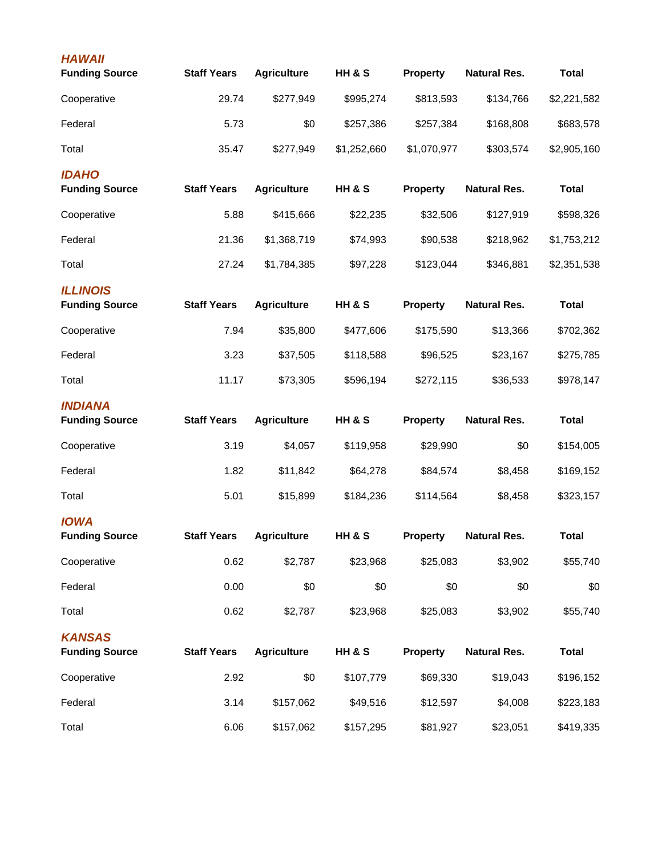| <b>HAWAII</b><br><b>Funding Source</b>   | <b>Staff Years</b> | <b>Agriculture</b> | <b>HH &amp; S</b> | <b>Property</b> | <b>Natural Res.</b> | <b>Total</b> |
|------------------------------------------|--------------------|--------------------|-------------------|-----------------|---------------------|--------------|
| Cooperative                              | 29.74              | \$277,949          | \$995,274         | \$813,593       | \$134,766           | \$2,221,582  |
|                                          |                    |                    |                   |                 |                     |              |
| Federal                                  | 5.73               | \$0                | \$257,386         | \$257,384       | \$168,808           | \$683,578    |
| Total                                    | 35.47              | \$277,949          | \$1,252,660       | \$1,070,977     | \$303,574           | \$2,905,160  |
| <b>IDAHO</b><br><b>Funding Source</b>    | <b>Staff Years</b> | <b>Agriculture</b> | <b>HH &amp; S</b> | <b>Property</b> | <b>Natural Res.</b> | <b>Total</b> |
| Cooperative                              | 5.88               | \$415,666          | \$22,235          | \$32,506        | \$127,919           | \$598,326    |
| Federal                                  | 21.36              | \$1,368,719        | \$74,993          | \$90,538        | \$218,962           | \$1,753,212  |
| Total                                    | 27.24              | \$1,784,385        | \$97,228          | \$123,044       | \$346,881           | \$2,351,538  |
| <b>ILLINOIS</b><br><b>Funding Source</b> | <b>Staff Years</b> | <b>Agriculture</b> | <b>HH &amp; S</b> | <b>Property</b> | <b>Natural Res.</b> | <b>Total</b> |
| Cooperative                              | 7.94               | \$35,800           | \$477,606         | \$175,590       | \$13,366            | \$702,362    |
| Federal                                  | 3.23               | \$37,505           | \$118,588         | \$96,525        | \$23,167            | \$275,785    |
| Total                                    | 11.17              | \$73,305           | \$596,194         | \$272,115       | \$36,533            | \$978,147    |
| <b>INDIANA</b><br><b>Funding Source</b>  | <b>Staff Years</b> | <b>Agriculture</b> | <b>HH &amp; S</b> | Property        | <b>Natural Res.</b> | <b>Total</b> |
| Cooperative                              | 3.19               | \$4,057            | \$119,958         | \$29,990        | \$0                 | \$154,005    |
| Federal                                  | 1.82               | \$11,842           | \$64,278          | \$84,574        | \$8,458             | \$169,152    |
| Total                                    | 5.01               | \$15,899           | \$184,236         | \$114,564       | \$8,458             | \$323,157    |
| <b>IOWA</b><br><b>Funding Source</b>     | <b>Staff Years</b> | <b>Agriculture</b> | <b>HH &amp; S</b> | <b>Property</b> | <b>Natural Res.</b> | <b>Total</b> |
| Cooperative                              | 0.62               | \$2,787            | \$23,968          | \$25,083        | \$3,902             | \$55,740     |
| Federal                                  | 0.00               | \$0                | \$0               | \$0             | \$0                 | \$0          |
| Total                                    | 0.62               | \$2,787            | \$23,968          | \$25,083        | \$3,902             | \$55,740     |
| <b>KANSAS</b><br><b>Funding Source</b>   | <b>Staff Years</b> | <b>Agriculture</b> | <b>HH &amp; S</b> | <b>Property</b> | <b>Natural Res.</b> | <b>Total</b> |
| Cooperative                              | 2.92               | \$0                | \$107,779         | \$69,330        | \$19,043            | \$196,152    |
| Federal                                  | 3.14               | \$157,062          | \$49,516          | \$12,597        | \$4,008             | \$223,183    |
| Total                                    | 6.06               | \$157,062          | \$157,295         | \$81,927        | \$23,051            | \$419,335    |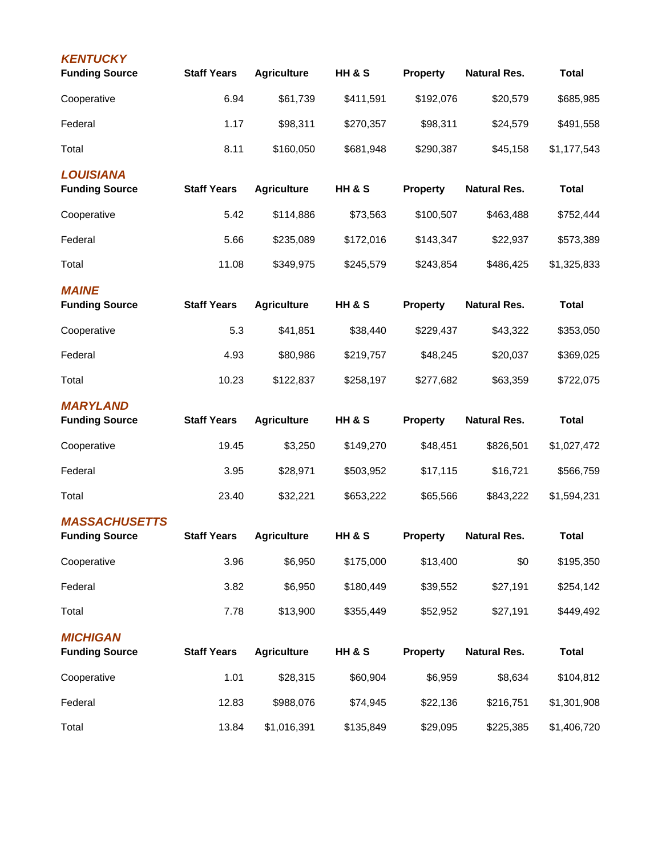| <b>KENTUCKY</b><br><b>Funding Source</b> | <b>Staff Years</b> | <b>Agriculture</b> | <b>HH &amp; S</b> | <b>Property</b> | <b>Natural Res.</b> | <b>Total</b> |
|------------------------------------------|--------------------|--------------------|-------------------|-----------------|---------------------|--------------|
| Cooperative                              | 6.94               | \$61,739           | \$411,591         | \$192,076       | \$20,579            | \$685,985    |
| Federal                                  | 1.17               | \$98,311           | \$270,357         | \$98,311        | \$24,579            | \$491,558    |
| Total                                    | 8.11               | \$160,050          | \$681,948         | \$290,387       | \$45,158            | \$1,177,543  |
| <b>LOUISIANA</b>                         |                    |                    |                   |                 |                     |              |
| <b>Funding Source</b>                    | <b>Staff Years</b> | <b>Agriculture</b> | <b>HH &amp; S</b> | <b>Property</b> | <b>Natural Res.</b> | <b>Total</b> |
| Cooperative                              | 5.42               | \$114,886          | \$73,563          | \$100,507       | \$463,488           | \$752,444    |
| Federal                                  | 5.66               | \$235,089          | \$172,016         | \$143,347       | \$22,937            | \$573,389    |
| Total                                    | 11.08              | \$349,975          | \$245,579         | \$243,854       | \$486,425           | \$1,325,833  |
| <b>MAINE</b>                             |                    |                    |                   |                 |                     |              |
| <b>Funding Source</b>                    | <b>Staff Years</b> | <b>Agriculture</b> | <b>HH &amp; S</b> | <b>Property</b> | <b>Natural Res.</b> | <b>Total</b> |
| Cooperative                              | 5.3                | \$41,851           | \$38,440          | \$229,437       | \$43,322            | \$353,050    |
| Federal                                  | 4.93               | \$80,986           | \$219,757         | \$48,245        | \$20,037            | \$369,025    |
| Total                                    | 10.23              | \$122,837          | \$258,197         | \$277,682       | \$63,359            | \$722,075    |
| <b>MARYLAND</b><br><b>Funding Source</b> | <b>Staff Years</b> | <b>Agriculture</b> | <b>HH &amp; S</b> | <b>Property</b> | <b>Natural Res.</b> | <b>Total</b> |
| Cooperative                              | 19.45              | \$3,250            | \$149,270         | \$48,451        | \$826,501           | \$1,027,472  |
| Federal                                  | 3.95               | \$28,971           | \$503,952         | \$17,115        | \$16,721            | \$566,759    |
| Total                                    | 23.40              | \$32,221           | \$653,222         | \$65,566        | \$843,222           | \$1,594,231  |
| <b>MASSACHUSETTS</b>                     | <b>Staff Years</b> | <b>Agriculture</b> | HH & S            |                 | <b>Natural Res.</b> | <b>Total</b> |
| <b>Funding Source</b>                    |                    |                    |                   | <b>Property</b> |                     |              |
| Cooperative                              | 3.96               | \$6,950            | \$175,000         | \$13,400        | \$0                 | \$195,350    |
| Federal                                  | 3.82               | \$6,950            | \$180,449         | \$39,552        | \$27,191            | \$254,142    |
| Total                                    | 7.78               | \$13,900           | \$355,449         | \$52,952        | \$27,191            | \$449,492    |
| <b>MICHIGAN</b><br><b>Funding Source</b> | <b>Staff Years</b> | <b>Agriculture</b> | <b>HH &amp; S</b> | <b>Property</b> | <b>Natural Res.</b> | <b>Total</b> |
| Cooperative                              | 1.01               | \$28,315           | \$60,904          | \$6,959         | \$8,634             | \$104,812    |
| Federal                                  | 12.83              | \$988,076          | \$74,945          | \$22,136        | \$216,751           | \$1,301,908  |
| Total                                    | 13.84              | \$1,016,391        | \$135,849         | \$29,095        | \$225,385           | \$1,406,720  |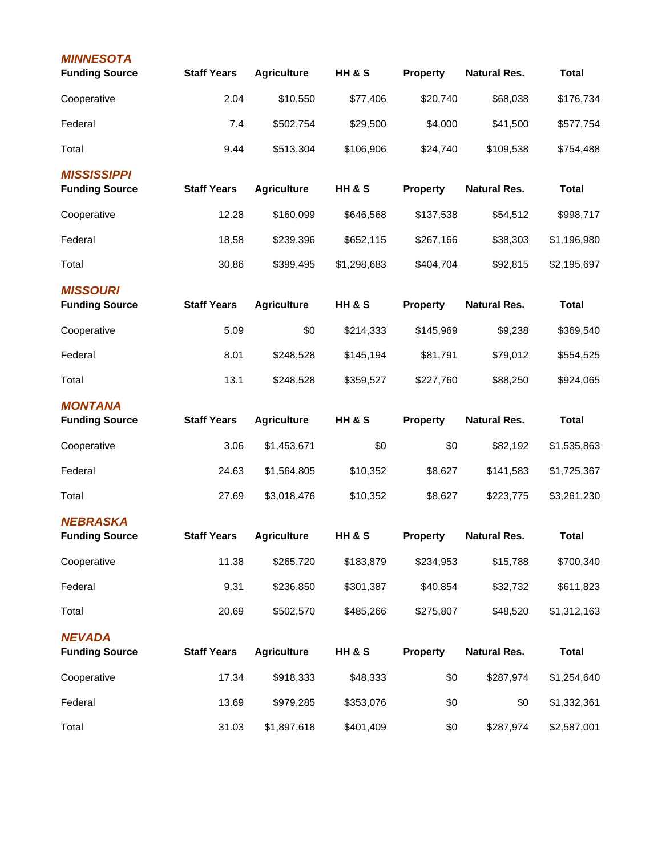| <b>MINNESOTA</b><br><b>Funding Source</b>   | <b>Staff Years</b> | <b>Agriculture</b> | <b>HH &amp; S</b> | <b>Property</b> | <b>Natural Res.</b> | <b>Total</b> |
|---------------------------------------------|--------------------|--------------------|-------------------|-----------------|---------------------|--------------|
| Cooperative                                 | 2.04               | \$10,550           | \$77,406          | \$20,740        | \$68,038            | \$176,734    |
| Federal                                     | 7.4                | \$502,754          | \$29,500          | \$4,000         | \$41,500            | \$577,754    |
| Total                                       | 9.44               | \$513,304          | \$106,906         | \$24,740        | \$109,538           | \$754,488    |
| <b>MISSISSIPPI</b><br><b>Funding Source</b> | <b>Staff Years</b> | <b>Agriculture</b> | <b>HH &amp; S</b> | <b>Property</b> | <b>Natural Res.</b> | <b>Total</b> |
| Cooperative                                 | 12.28              | \$160,099          | \$646,568         | \$137,538       | \$54,512            | \$998,717    |
| Federal                                     | 18.58              | \$239,396          | \$652,115         | \$267,166       | \$38,303            | \$1,196,980  |
| Total                                       | 30.86              | \$399,495          | \$1,298,683       | \$404,704       | \$92,815            | \$2,195,697  |
| <b>MISSOURI</b><br><b>Funding Source</b>    | <b>Staff Years</b> | <b>Agriculture</b> | <b>HH &amp; S</b> | <b>Property</b> | <b>Natural Res.</b> | <b>Total</b> |
| Cooperative                                 | 5.09               | \$0                | \$214,333         | \$145,969       | \$9,238             | \$369,540    |
| Federal                                     | 8.01               | \$248,528          | \$145,194         | \$81,791        | \$79,012            | \$554,525    |
| Total                                       | 13.1               | \$248,528          | \$359,527         | \$227,760       | \$88,250            | \$924,065    |
| <b>MONTANA</b><br><b>Funding Source</b>     | <b>Staff Years</b> | <b>Agriculture</b> | <b>HH &amp; S</b> | <b>Property</b> | <b>Natural Res.</b> | <b>Total</b> |
| Cooperative                                 | 3.06               | \$1,453,671        | \$0               | \$0             | \$82,192            | \$1,535,863  |
| Federal                                     | 24.63              | \$1,564,805        | \$10,352          | \$8,627         | \$141,583           | \$1,725,367  |
| Total                                       | 27.69              | \$3,018,476        | \$10,352          | \$8,627         | \$223,775           | \$3,261,230  |
| <b>NEBRASKA</b><br><b>Funding Source</b>    | <b>Staff Years</b> | <b>Agriculture</b> | <b>HH &amp; S</b> | <b>Property</b> | <b>Natural Res.</b> | <b>Total</b> |
| Cooperative                                 | 11.38              | \$265,720          | \$183,879         | \$234,953       | \$15,788            | \$700,340    |
| Federal                                     | 9.31               | \$236,850          | \$301,387         | \$40,854        | \$32,732            | \$611,823    |
| Total                                       | 20.69              | \$502,570          | \$485,266         | \$275,807       | \$48,520            | \$1,312,163  |
| <b>NEVADA</b><br><b>Funding Source</b>      | <b>Staff Years</b> | <b>Agriculture</b> | <b>HH &amp; S</b> | <b>Property</b> | <b>Natural Res.</b> | <b>Total</b> |
| Cooperative                                 | 17.34              | \$918,333          | \$48,333          | \$0             | \$287,974           | \$1,254,640  |
| Federal                                     | 13.69              | \$979,285          | \$353,076         | \$0             | \$0                 | \$1,332,361  |
| Total                                       | 31.03              | \$1,897,618        | \$401,409         | \$0             | \$287,974           | \$2,587,001  |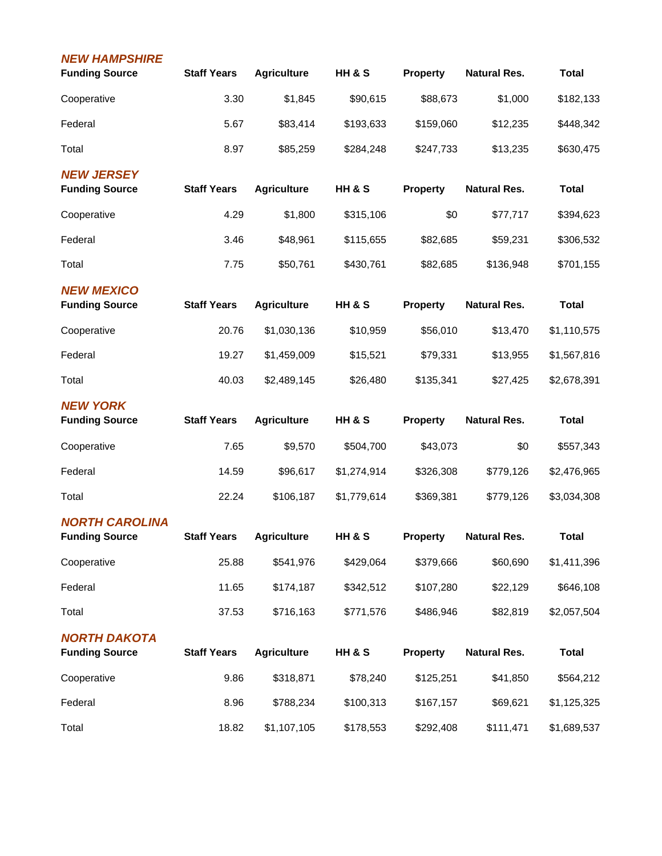| <b>NEW HAMPSHIRE</b><br><b>Funding Source</b>  | <b>Staff Years</b> | <b>Agriculture</b> | HH & S            | <b>Property</b> | <b>Natural Res.</b> | <b>Total</b> |
|------------------------------------------------|--------------------|--------------------|-------------------|-----------------|---------------------|--------------|
| Cooperative                                    | 3.30               | \$1,845            | \$90,615          | \$88,673        | \$1,000             | \$182,133    |
| Federal                                        | 5.67               | \$83,414           | \$193,633         | \$159,060       | \$12,235            | \$448,342    |
| Total                                          | 8.97               | \$85,259           | \$284,248         | \$247,733       | \$13,235            | \$630,475    |
| <b>NEW JERSEY</b><br><b>Funding Source</b>     | <b>Staff Years</b> | <b>Agriculture</b> | HH & S            | <b>Property</b> | <b>Natural Res.</b> | <b>Total</b> |
| Cooperative                                    | 4.29               | \$1,800            | \$315,106         | \$0             | \$77,717            | \$394,623    |
| Federal                                        | 3.46               | \$48,961           | \$115,655         | \$82,685        | \$59,231            | \$306,532    |
| Total                                          | 7.75               | \$50,761           | \$430,761         | \$82,685        | \$136,948           | \$701,155    |
| <b>NEW MEXICO</b><br><b>Funding Source</b>     | <b>Staff Years</b> | <b>Agriculture</b> | <b>HH &amp; S</b> | <b>Property</b> | <b>Natural Res.</b> | <b>Total</b> |
| Cooperative                                    | 20.76              | \$1,030,136        | \$10,959          | \$56,010        | \$13,470            | \$1,110,575  |
| Federal                                        | 19.27              | \$1,459,009        | \$15,521          | \$79,331        | \$13,955            | \$1,567,816  |
| Total                                          | 40.03              | \$2,489,145        | \$26,480          | \$135,341       | \$27,425            | \$2,678,391  |
| <b>NEW YORK</b><br><b>Funding Source</b>       | <b>Staff Years</b> | <b>Agriculture</b> | <b>HH &amp; S</b> | <b>Property</b> | <b>Natural Res.</b> | <b>Total</b> |
| Cooperative                                    | 7.65               | \$9,570            | \$504,700         | \$43,073        | \$0                 | \$557,343    |
| Federal                                        | 14.59              | \$96,617           | \$1,274,914       | \$326,308       | \$779,126           | \$2,476,965  |
| Total                                          | 22.24              | \$106,187          | \$1,779,614       | \$369,381       | \$779,126           | \$3,034,308  |
| <b>NORTH CAROLINA</b><br><b>Funding Source</b> | <b>Staff Years</b> | <b>Agriculture</b> | HH & S            | <b>Property</b> | <b>Natural Res.</b> | <b>Total</b> |
| Cooperative                                    | 25.88              | \$541,976          | \$429,064         | \$379,666       | \$60,690            | \$1,411,396  |
| Federal                                        | 11.65              | \$174,187          | \$342,512         | \$107,280       | \$22,129            | \$646,108    |
| Total                                          | 37.53              | \$716,163          | \$771,576         | \$486,946       | \$82,819            | \$2,057,504  |
| <b>NORTH DAKOTA</b><br><b>Funding Source</b>   | <b>Staff Years</b> | <b>Agriculture</b> | HH & S            | <b>Property</b> | <b>Natural Res.</b> | <b>Total</b> |
| Cooperative                                    | 9.86               | \$318,871          | \$78,240          | \$125,251       | \$41,850            | \$564,212    |
| Federal                                        | 8.96               | \$788,234          | \$100,313         | \$167,157       | \$69,621            | \$1,125,325  |
| Total                                          | 18.82              | \$1,107,105        | \$178,553         | \$292,408       | \$111,471           | \$1,689,537  |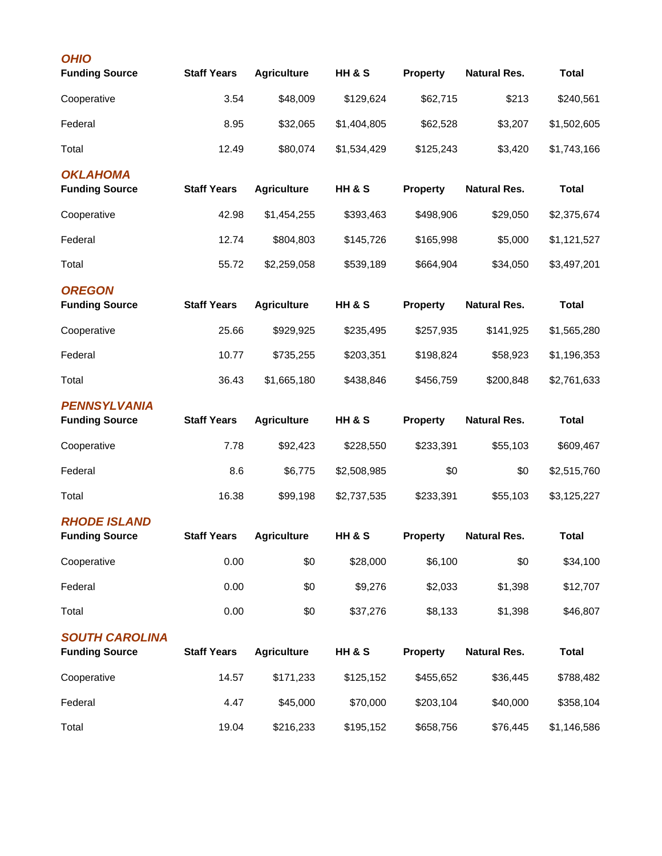| <b>OHIO</b><br><b>Funding Source</b>           | <b>Staff Years</b> | <b>Agriculture</b> | <b>HH &amp; S</b> | <b>Property</b> | <b>Natural Res.</b> | <b>Total</b> |
|------------------------------------------------|--------------------|--------------------|-------------------|-----------------|---------------------|--------------|
| Cooperative                                    | 3.54               | \$48,009           | \$129,624         | \$62,715        | \$213               | \$240,561    |
| Federal                                        | 8.95               | \$32,065           | \$1,404,805       | \$62,528        | \$3,207             | \$1,502,605  |
| Total                                          | 12.49              | \$80,074           | \$1,534,429       | \$125,243       | \$3,420             | \$1,743,166  |
| <b>OKLAHOMA</b><br><b>Funding Source</b>       | <b>Staff Years</b> | <b>Agriculture</b> | <b>HH &amp; S</b> | <b>Property</b> | <b>Natural Res.</b> | <b>Total</b> |
| Cooperative                                    | 42.98              | \$1,454,255        | \$393,463         | \$498,906       | \$29,050            | \$2,375,674  |
| Federal                                        | 12.74              | \$804,803          | \$145,726         | \$165,998       | \$5,000             | \$1,121,527  |
| Total                                          | 55.72              | \$2,259,058        | \$539,189         | \$664,904       | \$34,050            | \$3,497,201  |
| <b>OREGON</b><br><b>Funding Source</b>         | <b>Staff Years</b> | <b>Agriculture</b> | <b>HH &amp; S</b> | <b>Property</b> | <b>Natural Res.</b> | <b>Total</b> |
| Cooperative                                    | 25.66              | \$929,925          | \$235,495         | \$257,935       | \$141,925           | \$1,565,280  |
| Federal                                        | 10.77              | \$735,255          | \$203,351         | \$198,824       | \$58,923            | \$1,196,353  |
| Total                                          | 36.43              | \$1,665,180        | \$438,846         | \$456,759       | \$200,848           | \$2,761,633  |
| <b>PENNSYLVANIA</b><br><b>Funding Source</b>   | <b>Staff Years</b> | <b>Agriculture</b> | <b>HH &amp; S</b> | Property        | <b>Natural Res.</b> | <b>Total</b> |
| Cooperative                                    | 7.78               | \$92,423           | \$228,550         | \$233,391       | \$55,103            | \$609,467    |
| Federal                                        | 8.6                | \$6,775            | \$2,508,985       | \$0             | \$0                 | \$2,515,760  |
| Total                                          | 16.38              | \$99,198           | \$2,737,535       | \$233,391       | \$55,103            | \$3,125,227  |
| <b>RHODE ISLAND</b><br><b>Funding Source</b>   | <b>Staff Years</b> | <b>Agriculture</b> | <b>HH &amp; S</b> | <b>Property</b> | <b>Natural Res.</b> | <b>Total</b> |
| Cooperative                                    | 0.00               | \$0                | \$28,000          | \$6,100         | \$0                 | \$34,100     |
| Federal                                        | 0.00               | \$0                | \$9,276           | \$2,033         | \$1,398             | \$12,707     |
| Total                                          | 0.00               | \$0                | \$37,276          | \$8,133         | \$1,398             | \$46,807     |
| <b>SOUTH CAROLINA</b><br><b>Funding Source</b> | <b>Staff Years</b> | <b>Agriculture</b> | <b>HH &amp; S</b> | <b>Property</b> | <b>Natural Res.</b> | <b>Total</b> |
| Cooperative                                    | 14.57              | \$171,233          | \$125,152         | \$455,652       | \$36,445            | \$788,482    |
| Federal                                        | 4.47               | \$45,000           | \$70,000          | \$203,104       | \$40,000            | \$358,104    |
| Total                                          | 19.04              | \$216,233          | \$195,152         | \$658,756       | \$76,445            | \$1,146,586  |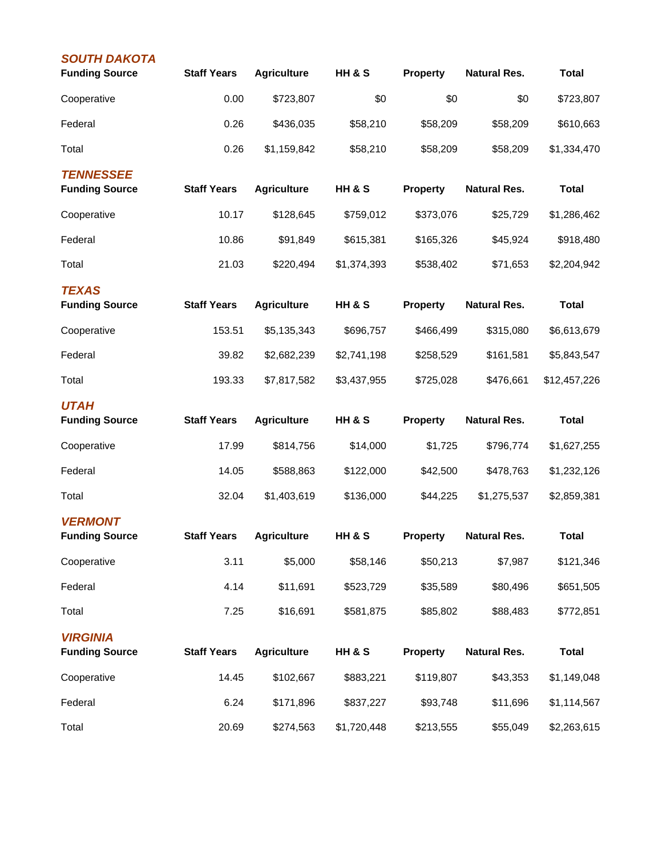| <b>SOUTH DAKOTA</b><br><b>Funding Source</b> | <b>Staff Years</b> | <b>Agriculture</b> | HH & S            | <b>Property</b> | <b>Natural Res.</b> | <b>Total</b> |
|----------------------------------------------|--------------------|--------------------|-------------------|-----------------|---------------------|--------------|
| Cooperative                                  | 0.00               | \$723,807          | \$0               | \$0             | \$0                 | \$723,807    |
| Federal                                      | 0.26               | \$436,035          | \$58,210          | \$58,209        | \$58,209            | \$610,663    |
| Total                                        | 0.26               | \$1,159,842        | \$58,210          | \$58,209        | \$58,209            | \$1,334,470  |
| <b>TENNESSEE</b><br><b>Funding Source</b>    | <b>Staff Years</b> | <b>Agriculture</b> | HH & S            | <b>Property</b> | <b>Natural Res.</b> | <b>Total</b> |
| Cooperative                                  | 10.17              | \$128,645          | \$759,012         | \$373,076       | \$25,729            | \$1,286,462  |
| Federal                                      | 10.86              | \$91,849           | \$615,381         | \$165,326       | \$45,924            | \$918,480    |
| Total                                        | 21.03              | \$220,494          | \$1,374,393       | \$538,402       | \$71,653            | \$2,204,942  |
| <b>TEXAS</b><br><b>Funding Source</b>        | <b>Staff Years</b> | <b>Agriculture</b> | <b>HH &amp; S</b> | <b>Property</b> | <b>Natural Res.</b> | <b>Total</b> |
| Cooperative                                  | 153.51             | \$5,135,343        | \$696,757         | \$466,499       | \$315,080           | \$6,613,679  |
| Federal                                      | 39.82              | \$2,682,239        | \$2,741,198       | \$258,529       | \$161,581           | \$5,843,547  |
| Total                                        | 193.33             | \$7,817,582        | \$3,437,955       | \$725,028       | \$476,661           | \$12,457,226 |
| <b>UTAH</b><br><b>Funding Source</b>         | <b>Staff Years</b> | <b>Agriculture</b> | <b>HH &amp; S</b> | <b>Property</b> | <b>Natural Res.</b> | <b>Total</b> |
| Cooperative                                  | 17.99              | \$814,756          | \$14,000          | \$1,725         | \$796,774           | \$1,627,255  |
| Federal                                      | 14.05              | \$588,863          | \$122,000         | \$42,500        | \$478,763           | \$1,232,126  |
| Total                                        | 32.04              | \$1,403,619        | \$136,000         | \$44,225        | \$1,275,537         | \$2,859,381  |
| <b>VERMONT</b><br><b>Funding Source</b>      | <b>Staff Years</b> | <b>Agriculture</b> | HH & S            | <b>Property</b> | <b>Natural Res.</b> | <b>Total</b> |
| Cooperative                                  | 3.11               | \$5,000            | \$58,146          | \$50,213        | \$7,987             | \$121,346    |
| Federal                                      | 4.14               | \$11,691           | \$523,729         | \$35,589        | \$80,496            | \$651,505    |
| Total                                        | 7.25               | \$16,691           | \$581,875         | \$85,802        | \$88,483            | \$772,851    |
| <b>VIRGINIA</b><br><b>Funding Source</b>     | <b>Staff Years</b> | <b>Agriculture</b> | HH & S            | <b>Property</b> | <b>Natural Res.</b> | <b>Total</b> |
| Cooperative                                  | 14.45              | \$102,667          | \$883,221         | \$119,807       | \$43,353            | \$1,149,048  |
| Federal                                      | 6.24               | \$171,896          | \$837,227         | \$93,748        | \$11,696            | \$1,114,567  |
| Total                                        | 20.69              | \$274,563          | \$1,720,448       | \$213,555       | \$55,049            | \$2,263,615  |